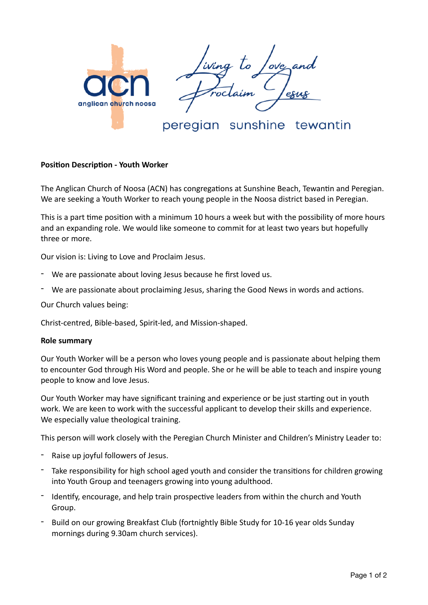

## peregian sunshine tewantin

## **Position Description - Youth Worker**

The Anglican Church of Noosa (ACN) has congregations at Sunshine Beach, Tewantin and Peregian. We are seeking a Youth Worker to reach young people in the Noosa district based in Peregian.

This is a part time position with a minimum 10 hours a week but with the possibility of more hours and an expanding role. We would like someone to commit for at least two years but hopefully three or more.

Our vision is: Living to Love and Proclaim Jesus.

- We are passionate about loving Jesus because he first loved us.
- We are passionate about proclaiming Jesus, sharing the Good News in words and actions.

Our Church values being:

Christ-centred, Bible-based, Spirit-led, and Mission-shaped.

## **Role summary**

Our Youth Worker will be a person who loves young people and is passionate about helping them to encounter God through His Word and people. She or he will be able to teach and inspire young people to know and love Jesus.

Our Youth Worker may have significant training and experience or be just starting out in youth work. We are keen to work with the successful applicant to develop their skills and experience. We especially value theological training.

This person will work closely with the Peregian Church Minister and Children's Ministry Leader to:

- Raise up joyful followers of Jesus.
- Take responsibility for high school aged youth and consider the transitions for children growing into Youth Group and teenagers growing into young adulthood.
- Identify, encourage, and help train prospective leaders from within the church and Youth Group.
- Build on our growing Breakfast Club (fortnightly Bible Study for 10-16 year olds Sunday mornings during 9.30am church services).